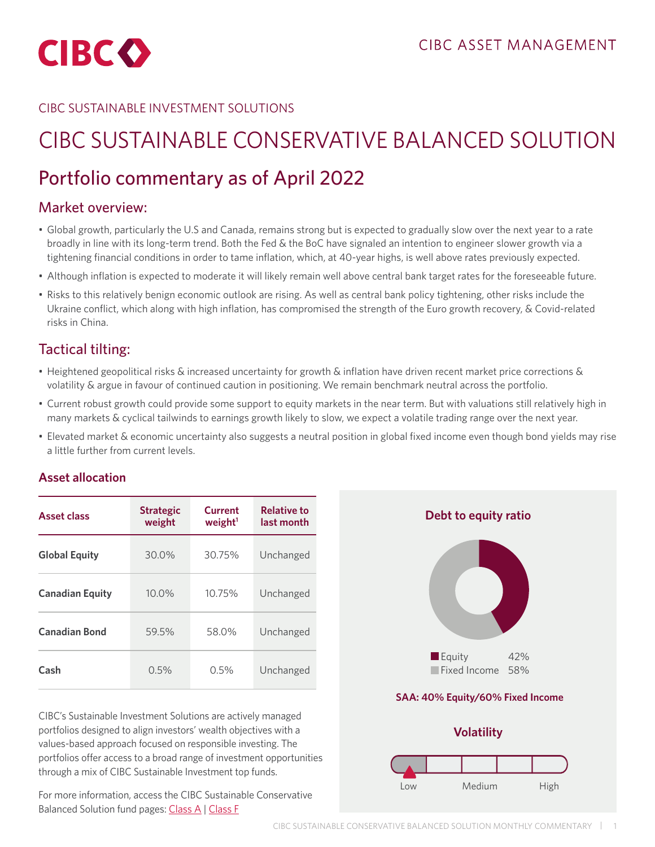

### CIBC SUSTAINABLE INVESTMENT SOLUTIONS

# CIBC SUSTAINABLE CONSERVATIVE BALANCED SOLUTION

## Portfolio commentary as of April 2022

## Market overview:

- Global growth, particularly the U.S and Canada, remains strong but is expected to gradually slow over the next year to a rate broadly in line with its long-term trend. Both the Fed & the BoC have signaled an intention to engineer slower growth via a tightening financial conditions in order to tame inflation, which, at 40-year highs, is well above rates previously expected.
- Although inflation is expected to moderate it will likely remain well above central bank target rates for the foreseeable future.
- Risks to this relatively benign economic outlook are rising. As well as central bank policy tightening, other risks include the Ukraine conflict, which along with high inflation, has compromised the strength of the Euro growth recovery, & Covid-related risks in China.

## Tactical tilting:

- Heightened geopolitical risks & increased uncertainty for growth & inflation have driven recent market price corrections & volatility & argue in favour of continued caution in positioning. We remain benchmark neutral across the portfolio.
- Current robust growth could provide some support to equity markets in the near term. But with valuations still relatively high in many markets & cyclical tailwinds to earnings growth likely to slow, we expect a volatile trading range over the next year.
- Elevated market & economic uncertainty also suggests a neutral position in global fixed income even though bond yields may rise a little further from current levels.

#### **Asset allocation**

| <b>Asset class</b>     | <b>Strategic</b><br>weight | Current<br>weight <sup>1</sup> | <b>Relative to</b><br>last month |
|------------------------|----------------------------|--------------------------------|----------------------------------|
| <b>Global Equity</b>   | 30.0%                      | 30.75%                         | Unchanged                        |
| <b>Canadian Equity</b> | 10.0%                      | 10.75%                         | Unchanged                        |
| <b>Canadian Bond</b>   | 59.5%                      | 58.0%                          | Unchanged                        |
| Cash                   | 0.5%                       | 0.5%                           | Unchanged                        |

CIBC's Sustainable Investment Solutions are actively managed portfolios designed to align investors' wealth objectives with a values-based approach focused on responsible investing. The portfolios offer access to a broad range of investment opportunities through a mix of CIBC Sustainable Investment top funds.

For more information, access the CIBC Sustainable Conservative Balanced Solution fund pages: [Class A](https://www.cibc.com/en/personal-banking/investments/mutual-funds/sustainable-investment-strategies/conservative-balanced-solution.html
) | [Class F](https://www.cibc.com/en/personal-banking/investments/mutual-funds/sustainable-investment-strategies/conservative-balanced-solution.html

)